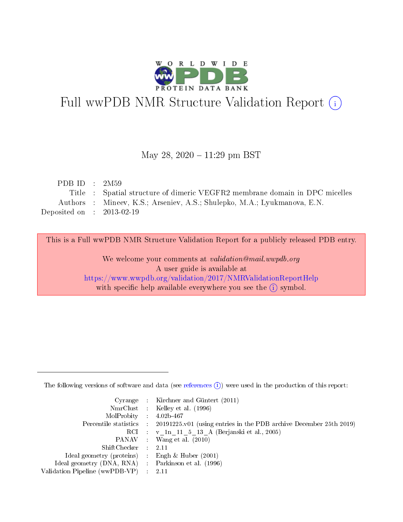

# Full wwPDB NMR Structure Validation Report (i)

### May 28, 2020 - 11:29 pm BST

| PDB ID : $2M59$                      |                                                                             |
|--------------------------------------|-----------------------------------------------------------------------------|
|                                      | Title : Spatial structure of dimeric VEGFR2 membrane domain in DPC micelles |
|                                      | Authors : Mineev, K.S.; Arseniev, A.S.; Shulepko, M.A.; Lyukmanova, E.N.    |
| Deposited on $\therefore$ 2013-02-19 |                                                                             |

This is a Full wwPDB NMR Structure Validation Report for a publicly released PDB entry.

We welcome your comments at *validation@mail.wwpdb.org* A user guide is available at <https://www.wwpdb.org/validation/2017/NMRValidationReportHelp> with specific help available everywhere you see the  $(i)$  symbol.

The following versions of software and data (see [references](https://www.wwpdb.org/validation/2017/NMRValidationReportHelp#references)  $(1)$ ) were used in the production of this report:

|                                                     | Cyrange : Kirchner and Güntert $(2011)$                                                    |
|-----------------------------------------------------|--------------------------------------------------------------------------------------------|
|                                                     | NmrClust : Kelley et al. (1996)                                                            |
| $MolProbability$ 4.02b-467                          |                                                                                            |
|                                                     | Percentile statistics : 20191225.v01 (using entries in the PDB archive December 25th 2019) |
|                                                     | RCI : v 1n 11 5 13 A (Berjanski et al., 2005)                                              |
|                                                     | PANAV Wang et al. (2010)                                                                   |
| $ShiftChecker$ 2.11                                 |                                                                                            |
| Ideal geometry (proteins) : Engh $\&$ Huber (2001)  |                                                                                            |
| Ideal geometry (DNA, RNA) : Parkinson et al. (1996) |                                                                                            |
| Validation Pipeline (wwPDB-VP)                      | $\sim 2.11$                                                                                |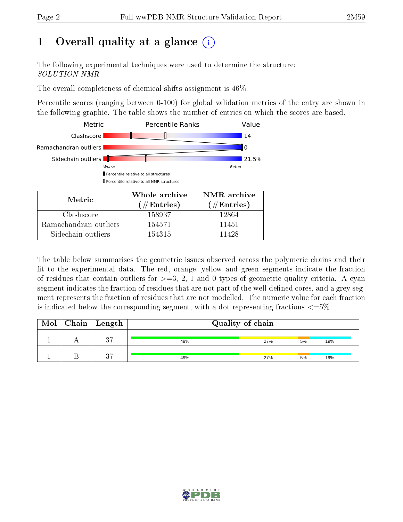# 1 [O](https://www.wwpdb.org/validation/2017/NMRValidationReportHelp#overall_quality)verall quality at a glance (i)

The following experimental techniques were used to determine the structure: SOLUTION NMR

The overall completeness of chemical shifts assignment is 46%.

Percentile scores (ranging between 0-100) for global validation metrics of the entry are shown in the following graphic. The table shows the number of entries on which the scores are based.



Sidechain outliers 154315 11428

The table below summarises the geometric issues observed across the polymeric chains and their fit to the experimental data. The red, orange, yellow and green segments indicate the fraction of residues that contain outliers for  $>=3, 2, 1$  and 0 types of geometric quality criteria. A cyan segment indicates the fraction of residues that are not part of the well-defined cores, and a grey segment represents the fraction of residues that are not modelled. The numeric value for each fraction is indicated below the corresponding segment, with a dot representing fractions  $\epsilon = 5\%$ 

| Mol | $\mid$ Chain $\mid$ | Length   | Quality of chain |     |    |     |  |  |  |  |  |
|-----|---------------------|----------|------------------|-----|----|-----|--|--|--|--|--|
|     |                     | 27       | 49%              | 27% | 5% | 19% |  |  |  |  |  |
|     |                     | $\Omega$ | 49%              | 27% | 5% | 19% |  |  |  |  |  |

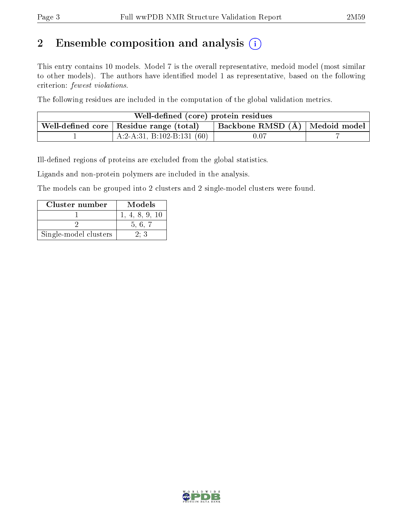# 2 Ensemble composition and analysis  $(i)$

This entry contains 10 models. Model 7 is the overall representative, medoid model (most similar to other models). The authors have identified model 1 as representative, based on the following criterion: fewest violations.

The following residues are included in the computation of the global validation metrics.

| Well-defined (core) protein residues                                            |                              |      |  |  |  |  |  |  |  |  |
|---------------------------------------------------------------------------------|------------------------------|------|--|--|--|--|--|--|--|--|
| Backbone RMSD (Å)   Medoid model  <br>Well-defined core   Residue range (total) |                              |      |  |  |  |  |  |  |  |  |
|                                                                                 | A:2-A:31, B:102-B:131 $(60)$ | 0.07 |  |  |  |  |  |  |  |  |

Ill-defined regions of proteins are excluded from the global statistics.

Ligands and non-protein polymers are included in the analysis.

The models can be grouped into 2 clusters and 2 single-model clusters were found.

| Cluster number        | Models         |
|-----------------------|----------------|
|                       | 1, 4, 8, 9, 10 |
|                       | 5.6.7          |
| Single-model clusters | 2:3            |

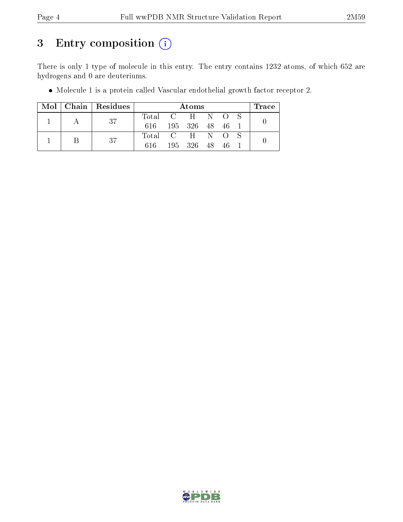# 3 Entry composition (i)

There is only 1 type of molecule in this entry. The entry contains 1232 atoms, of which 652 are hydrogens and 0 are deuteriums.

| Mol |   | $\vert$ Chain $\vert$ Residues |                 | Atoms |            |    |    |  |  |  |  |  |  |
|-----|---|--------------------------------|-----------------|-------|------------|----|----|--|--|--|--|--|--|
|     |   | -37                            | Total C H N O S |       |            |    |    |  |  |  |  |  |  |
|     |   |                                | 616.            |       | 195 326 48 |    | 46 |  |  |  |  |  |  |
|     | В | 37                             | Total C H N O   |       |            |    |    |  |  |  |  |  |  |
|     |   |                                | 616             | 195   | -326       | 48 | 46 |  |  |  |  |  |  |

Molecule 1 is a protein called Vascular endothelial growth factor receptor 2.

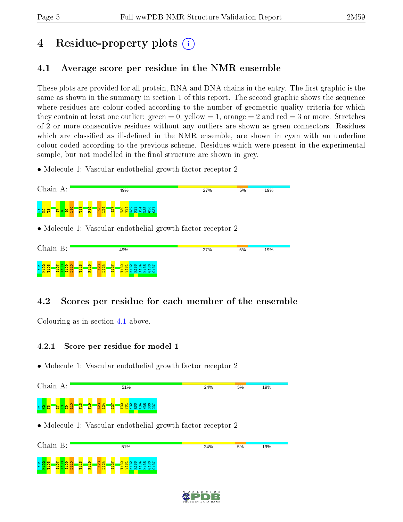# 4 Residue-property plots  $\binom{1}{1}$

## <span id="page-4-0"></span>4.1 Average score per residue in the NMR ensemble

These plots are provided for all protein, RNA and DNA chains in the entry. The first graphic is the same as shown in the summary in section 1 of this report. The second graphic shows the sequence where residues are colour-coded according to the number of geometric quality criteria for which they contain at least one outlier: green  $= 0$ , yellow  $= 1$ , orange  $= 2$  and red  $= 3$  or more. Stretches of 2 or more consecutive residues without any outliers are shown as green connectors. Residues which are classified as ill-defined in the NMR ensemble, are shown in cyan with an underline colour-coded according to the previous scheme. Residues which were present in the experimental sample, but not modelled in the final structure are shown in grey.

• Molecule 1: Vascular endothelial growth factor receptor 2



## 4.2 Scores per residue for each member of the ensemble

Colouring as in section [4.1](#page-4-0) above.

### 4.2.1 Score per residue for model 1





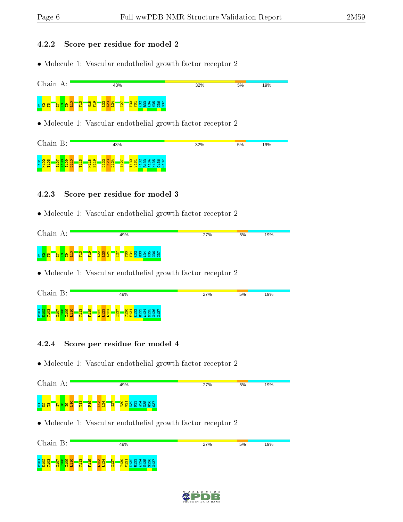#### 4.2.2 Score per residue for model 2

• Molecule 1: Vascular endothelial growth factor receptor 2



• Molecule 1: Vascular endothelial growth factor receptor 2



### 4.2.3 Score per residue for model 3

• Molecule 1: Vascular endothelial growth factor receptor 2



• Molecule 1: Vascular endothelial growth factor receptor 2

| Chain<br>Β:                                                                                 | 49%                                                                                                                                                                                                                                | 27% | 5%<br>19% |  |
|---------------------------------------------------------------------------------------------|------------------------------------------------------------------------------------------------------------------------------------------------------------------------------------------------------------------------------------|-----|-----------|--|
| ത<br>E101<br>K102<br>$\bullet$<br>÷<br>$\blacksquare$<br>÷<br><b>----</b><br><b>COLLEGE</b> | $\mathbf{\alpha}$<br>ை<br>m<br>4001<br>N<br>ന<br>$\blacksquare$<br>∾<br>o<br>÷<br>്ന<br>$\overline{m}$<br>$\sim$<br>$\sim$<br>n<br>ന<br>N<br>-<br>-<br>-<br>−<br>$\sim$<br>$> 1000$<br>$\blacksquare$<br>e<br><b>P</b><br>н<br>. . |     |           |  |

### 4.2.4 Score per residue for model 4





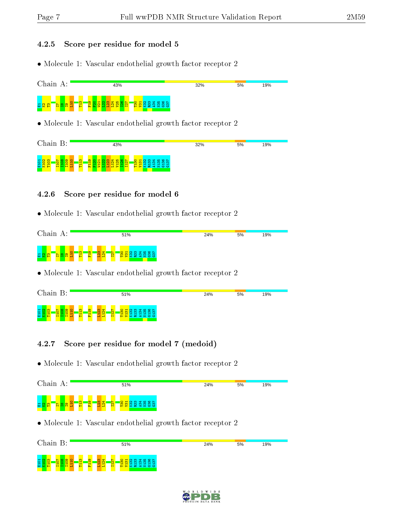### 4.2.5 Score per residue for model 5

• Molecule 1: Vascular endothelial growth factor receptor 2



• Molecule 1: Vascular endothelial growth factor receptor 2

| Chain<br>Β:                                                                  | 43%                                                                                                                                                                                                   | 32% | 5% | 19% |
|------------------------------------------------------------------------------|-------------------------------------------------------------------------------------------------------------------------------------------------------------------------------------------------------|-----|----|-----|
| 101<br>m<br>$\infty$<br>കര<br>⌒<br>⊣<br>Е<br><b>D</b><br><b>HH</b><br>⊷<br>− | ണ<br>$\circ$ $\mathbf{H}$<br>ന<br>'N<br>$-400 -$<br><b>R</b><br>െ<br>-10<br>m<br>$\sim$<br>ന<br>$\sim$<br>m<br>$\sim$<br>$\sim$<br>-<br>-<br>$>$ $\times$ $\alpha$ $\leq$ $\times$ $\infty$<br>н<br>− |     |    |     |

### 4.2.6 Score per residue for model 6

• Molecule 1: Vascular endothelial growth factor receptor 2



• Molecule 1: Vascular endothelial growth factor receptor 2

| Chain B:                                                                                                    | 51%                                                                                                                                                                                                                             | 24% | 5%<br>19% |
|-------------------------------------------------------------------------------------------------------------|---------------------------------------------------------------------------------------------------------------------------------------------------------------------------------------------------------------------------------|-----|-----------|
| ு<br>$\sim$<br>$\overline{5}$<br>$\blacksquare$<br>$\blacksquare$<br>M<br><b>True</b><br>нн<br><b>COLOR</b> | $\circ$ $\sim$<br>ത<br>$\overline{\phantom{a}}$<br>₩<br>$\blacksquare$<br>$\circ$<br>⊲ ഥ<br>Ń.<br>m<br><b>CO</b><br>ന<br>ന<br>'N'<br>m<br>. <del>.</del> .<br><b>11</b><br>⊣<br>−<br>−<br>$> 12.44$<br>$\blacksquare$<br>н<br>H |     |           |

### 4.2.7 Score per residue for model 7 (medoid)



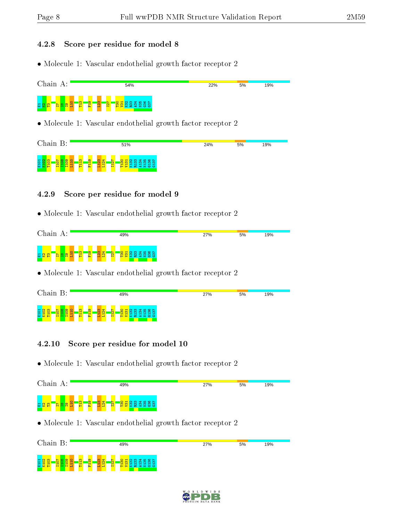#### 4.2.8 Score per residue for model 8

• Molecule 1: Vascular endothelial growth factor receptor 2



• Molecule 1: Vascular endothelial growth factor receptor 2

| Chain B:                                                                                                                                                                           | 51%                                                                                           | 24% | 5% | 19% |
|------------------------------------------------------------------------------------------------------------------------------------------------------------------------------------|-----------------------------------------------------------------------------------------------|-----|----|-----|
| $\overline{\phantom{a}}$<br>ு<br>101<br>$\infty$<br>N<br>$\mathbf{N}$<br>$\sim$<br>$\blacksquare$<br><b>H</b><br>−<br>−<br>−<br>M<br><b>Fx</b><br>н<br>H H<br>$\blacksquare$<br>пq | $O$ $H$ $N$ $M$ $N$ $D$ $N$<br>m<br>ന<br>ന<br><b>I</b> m<br><u>m m</u><br><b>BEERESS</b><br>е |     |    |     |

### 4.2.9 Score per residue for model 9

• Molecule 1: Vascular endothelial growth factor receptor 2



• Molecule 1: Vascular endothelial growth factor receptor 2

| Chain                     | Β:        |                  |                               |                                                   |                  |                                         | 49%                 |                                                                                |           |   |          |  |  | 27% |  | 5% | 19% |  |
|---------------------------|-----------|------------------|-------------------------------|---------------------------------------------------|------------------|-----------------------------------------|---------------------|--------------------------------------------------------------------------------|-----------|---|----------|--|--|-----|--|----|-----|--|
| E101<br><mark>K102</mark> | $\bullet$ | ത<br>÷<br>−<br>H | $\sigma$<br>⊣<br>$\sim$<br>Þ. | <b>September</b><br>$\infty$<br>$\mathbf{\alpha}$ | N<br>$\sim$<br>н | $\overline{\phantom{0}}$<br>$\tilde{m}$ | -<br>$\sim$<br>$-5$ | $N$ $\omega$ $\Delta$ $\omega$ $\omega$ $\sim$ $\Delta$<br>∎ຕ<br><b>XA4200</b> | - Añ<br>m | ണ | ന്ന<br>- |  |  |     |  |    |     |  |

### 4.2.10 Score per residue for model 10

8 <mark>8 8 - 5 8 8 9</mark><br>전*호* 프 - 111 11

 $\frac{10}{11}$ T113 F119  $L123$ L124 I127 T130 V131 K132 R133 A134 N135 G136 G137

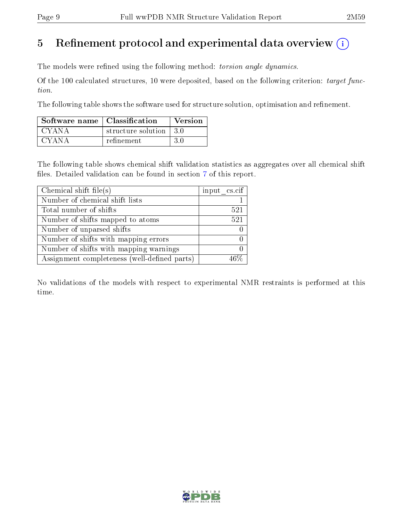# 5 Refinement protocol and experimental data overview  $\binom{1}{k}$

The models were refined using the following method: torsion angle dynamics.

Of the 100 calculated structures, 10 were deposited, based on the following criterion: target function.

The following table shows the software used for structure solution, optimisation and refinement.

| Software name   Classification |                                        | Version |
|--------------------------------|----------------------------------------|---------|
| CYANA                          | structure solution $\vert 3.0 \rangle$ |         |
| CYANA                          | refinement                             | -3 O    |

The following table shows chemical shift validation statistics as aggregates over all chemical shift files. Detailed validation can be found in section [7](#page-13-0) of this report.

| Chemical shift file(s)                       | input cs.cif |
|----------------------------------------------|--------------|
| Number of chemical shift lists               |              |
| Total number of shifts                       | 521          |
| Number of shifts mapped to atoms             | 521          |
| Number of unparsed shifts                    |              |
| Number of shifts with mapping errors         |              |
| Number of shifts with mapping warnings       |              |
| Assignment completeness (well-defined parts) |              |

No validations of the models with respect to experimental NMR restraints is performed at this time.

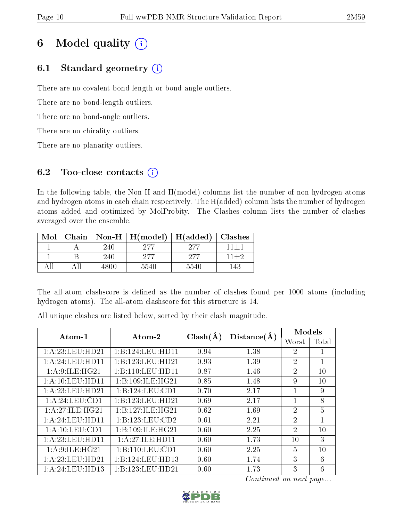# 6 Model quality  $(i)$

## 6.1 Standard geometry  $(i)$

There are no covalent bond-length or bond-angle outliers.

There are no bond-length outliers.

There are no bond-angle outliers.

There are no chirality outliers.

There are no planarity outliers.

## 6.2 Too-close contacts  $(i)$

In the following table, the Non-H and H(model) columns list the number of non-hydrogen atoms and hydrogen atoms in each chain respectively. The H(added) column lists the number of hydrogen atoms added and optimized by MolProbity. The Clashes column lists the number of clashes averaged over the ensemble.

| Mol |      | Chain   Non-H   $H (model)$ | H(added)   Classhes |          |
|-----|------|-----------------------------|---------------------|----------|
|     | 240  | 977                         | 977                 | $11 + 1$ |
|     | 240  | 277                         | 277                 | $11 + 2$ |
|     | 4800 | 5540                        | 5540                | 143.     |

The all-atom clashscore is defined as the number of clashes found per 1000 atoms (including hydrogen atoms). The all-atom clashscore for this structure is 14.

All unique clashes are listed below, sorted by their clash magnitude.

| Atom-1              | Atom-2           | $Clash(\AA)$ | Distance(A) | Models         |                |
|---------------------|------------------|--------------|-------------|----------------|----------------|
|                     |                  |              |             | Worst          | Total          |
| 1:A:23:LEU:HD21     | 1:B:124:LEU:HD11 | 0.94         | 1.38        | $\overline{2}$ |                |
| 1: A:24:LEU:HD11    | 1:B:123:LEU:HD21 | 0.93         | 1.39        | $\mathfrak{D}$ | $\mathbf{1}$   |
| 1: A:9: ILE: HG21   | 1:B:110:LEU:HDI1 | 0.87         | 1.46        | $\overline{2}$ | 10             |
| 1: A: 10: LEU: HD11 | 1:B:109:ILE:HG21 | 0.85         | 1.48        | 9              | 10             |
| 1: A:23:LEU:HD21    | 1:B:124:LEU:CD1  | 0.70         | 2.17        |                | 9              |
| 1: A:24:LEU:CD1     | 1:B:123:LEU:HD21 | 0.69         | 2.17        |                | 8              |
| 1:A:27:ILE:HG21     | 1:B:127:ILE:HG21 | 0.62         | 1.69        | $\overline{2}$ | $\overline{5}$ |
| 1: A:24:LEU:HD11    | 1:B:123:LEU:CD2  | 0.61         | 2.21        | $\overline{2}$ | $\mathbf{1}$   |
| 1: A: 10: LEU: CD1  | 1:B:109:ILE:HG21 | 0.60         | 2.25        | $\mathfrak{D}$ | 10             |
| 1: A:23:LEU:HD11    | 1:A:27:ILE:HD11  | 0.60         | 1.73        | 10             | 3              |
| 1: A:9: ILE: HG21   | 1:B:110:LEU:CD1  | 0.60         | 2.25        | 5              | 10             |
| 1: A:23:LEU:HD21    | 1:B:124:LEU:HD13 | 0.60         | 1.74        | 3              | 6              |
| 1: A:24:LEU:HD13    | 1:B:123:LEU:HD21 | 0.60         | 1.73        | 3              | 6              |

Continued on next page...

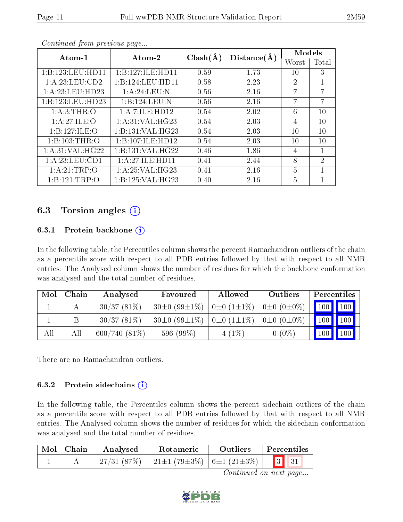| $Atom-1$          | Atom-2            | $Clash(\AA)$ | Distance(A) | Models         |                |
|-------------------|-------------------|--------------|-------------|----------------|----------------|
|                   |                   |              |             | Worst          | Total          |
| 1:B:123:LEU:HD11  | 1:B:127:ILE:HD11  | 0.59         | 1.73        | 10             | 3              |
| 1: A:23:LEU:CD2   | 1:B:124:LEU:HD11  | 0.58         | 2.23        | $\overline{2}$ | 1              |
| 1:A:23:LEU:HD23   | 1: A:24:LEU: N    | 0.56         | 2.16        | 7              | 7              |
| 1:B:123:LEU:HD23  | 1:B:124:LEU:N     | 0.56         | 2.16        | 7              | 7              |
| 1: A:3:THR:O      | 1:A:7:ILE:HD12    | 0.54         | 2.02        | 6              | 10             |
| 1:A:27:ILE:O      | 1: A:31: VAL:HG23 | 0.54         | 2.03        | 4              | 10             |
| 1:B:127:ILE:O     | 1:B:131:VAL:HG23  | 0.54         | 2.03        | 10             | 10             |
| 1:B:103:THR:O     | 1:B:107:ILE:HD12  | 0.54         | 2.03        | 10             | 10             |
| 1: A:31: VAL:HG22 | 1:B:131:VAL:HG22  | 0.46         | 1.86        | $\overline{4}$ | 1              |
| 1: A:23:LEU:CD1   | 1:A:27:ILE:HD11   | 0.41         | 2.44        | 8              | $\overline{2}$ |
| 1:A:21:TRP:O      | 1: A:25: VAL:HG23 | 0.41         | 2.16        | $\overline{5}$ | 1              |
| 1:B:121:TRP:O     | 1:B:125:VAL:HG23  | 0.40         | 2.16        | 5              |                |

Continued from previous page...

### 6.3 Torsion angles (i)

### 6.3.1 Protein backbone  $(i)$

In the following table, the Percentiles column shows the percent Ramachandran outliers of the chain as a percentile score with respect to all PDB entries followed by that with respect to all NMR entries. The Analysed column shows the number of residues for which the backbone conformation was analysed and the total number of residues.

| Mol | Chain | Analysed        | Favoured                | Allowed               | Outliers              | Percentiles |               |
|-----|-------|-----------------|-------------------------|-----------------------|-----------------------|-------------|---------------|
|     |       | 30/37(81%)      | $30\pm0$ (99 $\pm1\%$ ) | $0\pm 0$ $(1\pm 1\%)$ | $0\pm 0$ $(0\pm 0\%)$ |             | $100$   $100$ |
|     |       | $30/37(81\%)$   | $30\pm0$ (99 $\pm1\%$ ) | $0\pm 0$ $(1\pm 1\%)$ | $0\pm 0$ $(0\pm 0\%)$ |             | 100   100     |
| All | Αll   | $600/740(81\%)$ | 596 (99%)               | $4(1\%)$              | $0(0\%)$              |             | $100$   $100$ |

There are no Ramachandran outliers.

### 6.3.2 Protein sidechains  $(i)$

In the following table, the Percentiles column shows the percent sidechain outliers of the chain as a percentile score with respect to all PDB entries followed by that with respect to all NMR entries. The Analysed column shows the number of residues for which the sidechain conformation was analysed and the total number of residues.

| Mol   Chain | Analysed   | Rotameric                                                                                                                   | <b>Outliers</b> | Percentiles |
|-------------|------------|-----------------------------------------------------------------------------------------------------------------------------|-----------------|-------------|
|             | 27/31(87%) | $\begin{array}{ c c c c c c c c c } \hline \end{array}$ (79±3%) $\begin{array}{ c c c c c c c c } \hline \end{array}$ 31 31 |                 |             |

Continued on next page...

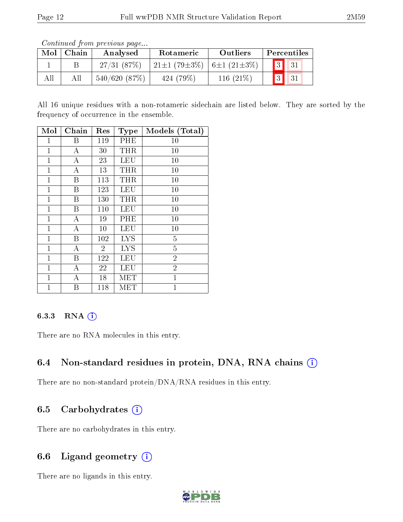Continued from previous page...

| Mol | Chain | Analysed     | Rotameric                                         | Outliers     | Percentiles |
|-----|-------|--------------|---------------------------------------------------|--------------|-------------|
|     |       | 27/31(87%)   | $21\pm1$ (79 $\pm3\%$ )   6 $\pm1$ (21 $\pm3\%$ ) |              |             |
| All |       | 540/620(87%) | 424 (79\%)                                        | 116 $(21\%)$ | 31          |

All 16 unique residues with a non-rotameric sidechain are listed below. They are sorted by the frequency of occurrence in the ensemble.

| Mol          | Chain            | Res            | <b>Type</b> | Models (Total) |
|--------------|------------------|----------------|-------------|----------------|
| 1            | Β                | 119            | PHE         | $10\,$         |
| $\mathbf 1$  | А                | 30             | THR         | 10             |
| $\mathbf{1}$ | $\boldsymbol{A}$ | 23             | <b>LEU</b>  | 10             |
| $\mathbf{1}$ | $\boldsymbol{A}$ | 13             | THR         | 10             |
| $\mathbf{1}$ | B                | 113            | <b>THR</b>  | 10             |
| $\mathbf{1}$ | $\boldsymbol{B}$ | 123            | LEU         | 10             |
| $\mathbf 1$  | B                | 130            | THR         | 10             |
| $\mathbf{1}$ | B                | 110            | <b>LEU</b>  | 10             |
| $\mathbf{1}$ | A                | 19             | PHE         | 10             |
| $\mathbf{1}$ | A                | 10             | <b>LEU</b>  | 10             |
| $\mathbf{1}$ | $\boldsymbol{B}$ | 102            | <b>LYS</b>  | $\overline{5}$ |
| $\mathbf 1$  | $\boldsymbol{A}$ | $\overline{2}$ | <b>LYS</b>  | $\overline{5}$ |
| $\mathbf 1$  | Β                | 122            | LEU         | $\overline{2}$ |
| $\mathbf{1}$ | A                | 22             | LEU         | $\overline{2}$ |
| $\mathbf{1}$ | $\boldsymbol{A}$ | 18             | MET         | $\mathbf 1$    |
| $\mathbf 1$  | Β                | 118            | MET         | $\overline{1}$ |

### 6.3.3 RNA (i)

There are no RNA molecules in this entry.

### 6.4 Non-standard residues in protein, DNA, RNA chains  $(i)$

There are no non-standard protein/DNA/RNA residues in this entry.

### 6.5 Carbohydrates  $(i)$

There are no carbohydrates in this entry.

## 6.6 Ligand geometry  $(i)$

There are no ligands in this entry.

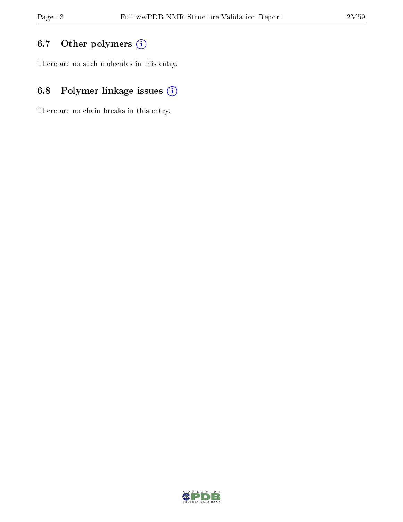## 6.7 [O](https://www.wwpdb.org/validation/2017/NMRValidationReportHelp#nonstandard_residues_and_ligands)ther polymers (i)

There are no such molecules in this entry.

## 6.8 Polymer linkage issues (i)

There are no chain breaks in this entry.

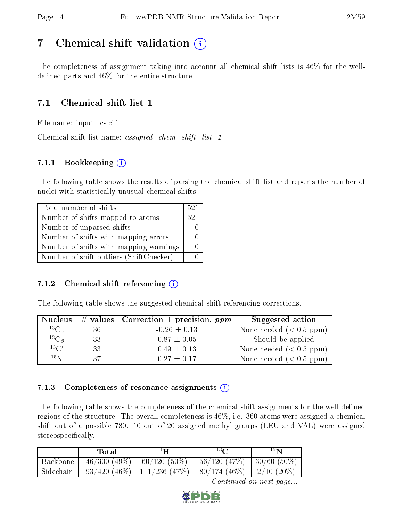# <span id="page-13-0"></span>7 Chemical shift validation  $\left( \begin{array}{c} \overline{1} \end{array} \right)$

The completeness of assignment taking into account all chemical shift lists is 46% for the welldefined parts and  $46\%$  for the entire structure.

## 7.1 Chemical shift list 1

File name: input\_cs.cif

Chemical shift list name: *assigned\_chem\_shift\_list\_1* 

### 7.1.1 Bookkeeping (i)

The following table shows the results of parsing the chemical shift list and reports the number of nuclei with statistically unusual chemical shifts.

| Total number of shifts                  | 521 |
|-----------------------------------------|-----|
| Number of shifts mapped to atoms        | 521 |
| Number of unparsed shifts               |     |
| Number of shifts with mapping errors    |     |
| Number of shifts with mapping warnings  |     |
| Number of shift outliers (ShiftChecker) |     |

### 7.1.2 Chemical shift referencing  $(i)$

The following table shows the suggested chemical shift referencing corrections.

| <b>Nucleus</b>      |     | # values   Correction $\pm$ precision, ppm | Suggested action          |
|---------------------|-----|--------------------------------------------|---------------------------|
| ${}^{13}C_{\alpha}$ | 36  | $-0.26 \pm 0.13$                           | None needed $(0.5 ppm)$   |
| ${}^{13}C_{\beta}$  | 33  | $0.87 \pm 0.05$                            | Should be applied         |
| $13\text{C}$        | -33 | $0.49 \pm 0.13$                            | None needed $(0.5 ppm)$   |
| $15\,\mathrm{N}$    | -37 | $0.27 + 0.17$                              | None needed $(< 0.5$ ppm) |

### 7.1.3 Completeness of resonance assignments  $(i)$

The following table shows the completeness of the chemical shift assignments for the well-defined regions of the structure. The overall completeness is 46%, i.e. 360 atoms were assigned a chemical shift out of a possible 780. 10 out of 20 assigned methyl groups (LEU and VAL) were assigned stereospecifically.

|                       | Total                                       | $1\mathbf{H}$                                                         | $13\Omega$                     | $15\mathrm{N}$ |
|-----------------------|---------------------------------------------|-----------------------------------------------------------------------|--------------------------------|----------------|
| Backbone <sup>1</sup> | $\boxed{146/300\ (49\%)}\ \ 60/120\ (50\%)$ |                                                                       | $56/120$ (47\%)   30/60 (50\%) |                |
|                       |                                             | Sidechain   193/420 (46%)   111/236 (47%)   80/174 (46%)   2/10 (20%) |                                |                |

Continued on next page...